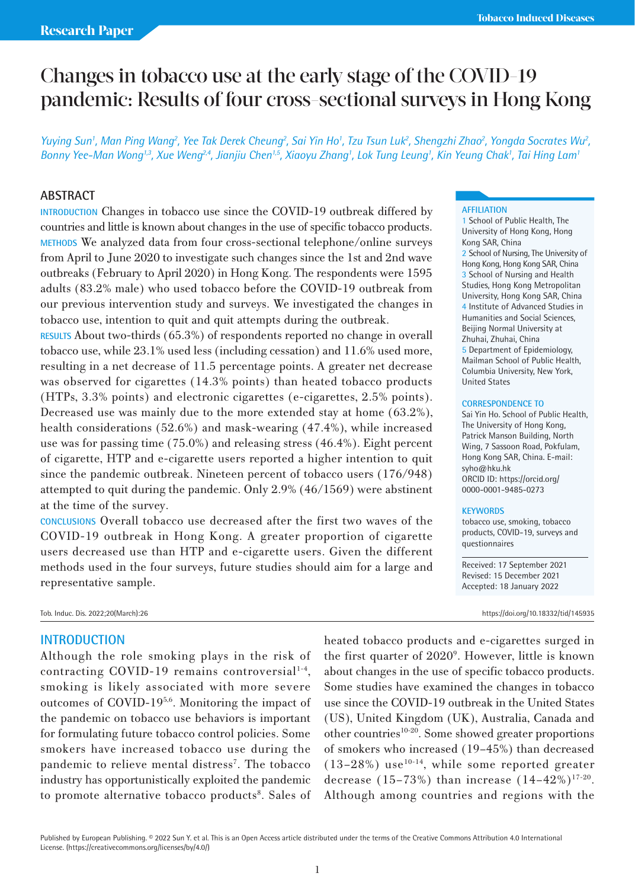# Changes in tobacco use at the early stage of the COVID-19 pandemic: Results of four cross-sectional surveys in Hong Kong

*Yuying Sun', Man Ping Wang<sup>2</sup>, Yee Tak Derek Cheung<sup>2</sup>, Sai Yin Ho', Tzu Tsun Luk<sup>2</sup>, Shengzhi Zhao<sup>2</sup>, Yongda Socrates Wu<sup>2</sup>,* Bonny Yee-Man Wong<sup>1,3</sup>, Xue Weng<sup>2,4</sup>, Jianjiu Chen<sup>1,5</sup>, Xiaoyu Zhang<sup>1</sup>, Lok Tung Leung<sup>1</sup>, Kin Yeung Chak<sup>1</sup>, Tai Hing Lam<sup>1</sup>

# **ABSTRACT**

**INTRODUCTION** Changes in tobacco use since the COVID-19 outbreak differed by countries and little is known about changes in the use of specific tobacco products. **METHODS** We analyzed data from four cross-sectional telephone/online surveys from April to June 2020 to investigate such changes since the 1st and 2nd wave outbreaks (February to April 2020) in Hong Kong. The respondents were 1595 adults (83.2% male) who used tobacco before the COVID-19 outbreak from our previous intervention study and surveys. We investigated the changes in tobacco use, intention to quit and quit attempts during the outbreak.

**RESULTS** About two-thirds (65.3%) of respondents reported no change in overall tobacco use, while 23.1% used less (including cessation) and 11.6% used more, resulting in a net decrease of 11.5 percentage points. A greater net decrease was observed for cigarettes (14.3% points) than heated tobacco products (HTPs, 3.3% points) and electronic cigarettes (e-cigarettes, 2.5% points). Decreased use was mainly due to the more extended stay at home (63.2%), health considerations (52.6%) and mask-wearing (47.4%), while increased use was for passing time (75.0%) and releasing stress (46.4%). Eight percent of cigarette, HTP and e-cigarette users reported a higher intention to quit since the pandemic outbreak. Nineteen percent of tobacco users (176/948) attempted to quit during the pandemic. Only 2.9% (46/1569) were abstinent at the time of the survey.

**CONCLUSIONS** Overall tobacco use decreased after the first two waves of the COVID-19 outbreak in Hong Kong. A greater proportion of cigarette users decreased use than HTP and e-cigarette users. Given the different methods used in the four surveys, future studies should aim for a large and representative sample.

# **INTRODUCTION**

Although the role smoking plays in the risk of contracting COVID-19 remains controversial $1-4$ , smoking is likely associated with more severe outcomes of COVID-195,6. Monitoring the impact of the pandemic on tobacco use behaviors is important for formulating future tobacco control policies. Some smokers have increased tobacco use during the pandemic to relieve mental distress<sup>7</sup>. The tobacco industry has opportunistically exploited the pandemic to promote alternative tobacco products<sup>8</sup>. Sales of heated tobacco products and e-cigarettes surged in the first quarter of 2020<sup>°</sup>. However, little is known about changes in the use of specific tobacco products. Some studies have examined the changes in tobacco use since the COVID-19 outbreak in the United States (US), United Kingdom (UK), Australia, Canada and other countries10-20. Some showed greater proportions of smokers who increased (19–45%) than decreased  $(13-28%)$  use<sup>10-14</sup>, while some reported greater decrease  $(15-73%)$  than increase  $(14-42%)^{17-20}$ . Although among countries and regions with the

#### **AFFILIATION**

1 School of Public Health, The University of Hong Kong, Hong Kong SAR, China 2 School of Nursing, The University of Hong Kong, Hong Kong SAR, China 3 School of Nursing and Health Studies, Hong Kong Metropolitan University, Hong Kong SAR, China 4 Institute of Advanced Studies in Humanities and Social Sciences, Beijing Normal University at Zhuhai, Zhuhai, China 5 Department of Epidemiology, Mailman School of Public Health, Columbia University, New York, United States

## **CORRESPONDENCE TO**

Sai Yin Ho. School of Public Health, The University of Hong Kong, Patrick Manson Building, North Wing, 7 Sassoon Road, Pokfulam, Hong Kong SAR, China. E-mail: syho@hku.hk ORCID ID: https://orcid.org/ 0000-0001-9485-0273

#### **KEYWORDS**

tobacco use, smoking, tobacco products, COVID-19, surveys and questionnaires

Received: 17 September 2021 Revised: 15 December 2021 Accepted: 18 January 2022

Tob. Induc. Dis. 2022;20(March):26 https://doi.org/10.18332/tid/145935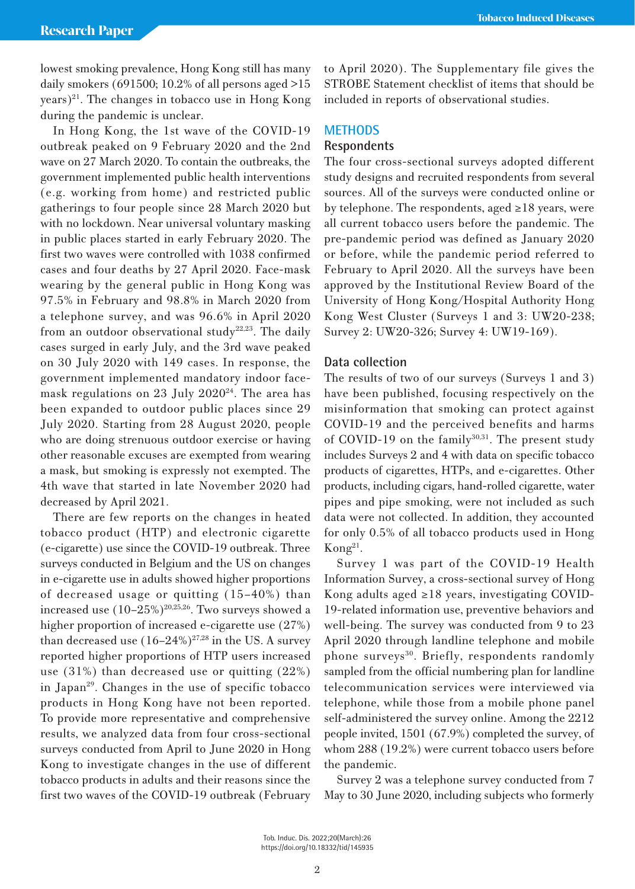lowest smoking prevalence, Hong Kong still has many daily smokers (691500; 10.2% of all persons aged  $>15$  $(years)<sup>21</sup>$ . The changes in tobacco use in Hong Kong during the pandemic is unclear.

In Hong Kong, the 1st wave of the COVID-19 outbreak peaked on 9 February 2020 and the 2nd wave on 27 March 2020. To contain the outbreaks, the government implemented public health interventions (e.g. working from home) and restricted public gatherings to four people since 28 March 2020 but with no lockdown. Near universal voluntary masking in public places started in early February 2020. The first two waves were controlled with 1038 confirmed cases and four deaths by 27 April 2020. Face-mask wearing by the general public in Hong Kong was 97.5% in February and 98.8% in March 2020 from a telephone survey, and was 96.6% in April 2020 from an outdoor observational study<sup>22,23</sup>. The daily cases surged in early July, and the 3rd wave peaked on 30 July 2020 with 149 cases. In response, the government implemented mandatory indoor facemask regulations on 23 July  $2020^{24}$ . The area has been expanded to outdoor public places since 29 July 2020. Starting from 28 August 2020, people who are doing strenuous outdoor exercise or having other reasonable excuses are exempted from wearing a mask, but smoking is expressly not exempted. The 4th wave that started in late November 2020 had decreased by April 2021.

There are few reports on the changes in heated tobacco product (HTP) and electronic cigarette (e-cigarette) use since the COVID-19 outbreak. Three surveys conducted in Belgium and the US on changes in e-cigarette use in adults showed higher proportions of decreased usage or quitting (15–40%) than increased use  $(10-25\%)^{20,25,26}$ . Two surveys showed a higher proportion of increased e-cigarette use (27%) than decreased use  $(16-24\%)^{27,28}$  in the US. A survey reported higher proportions of HTP users increased use (31%) than decreased use or quitting (22%) in Japan<sup>29</sup>. Changes in the use of specific tobacco products in Hong Kong have not been reported. To provide more representative and comprehensive results, we analyzed data from four cross-sectional surveys conducted from April to June 2020 in Hong Kong to investigate changes in the use of different tobacco products in adults and their reasons since the first two waves of the COVID-19 outbreak (February to April 2020). The Supplementary file gives the STROBE Statement checklist of items that should be included in reports of observational studies.

## **METHODS**

# **Respondents**

The four cross-sectional surveys adopted different study designs and recruited respondents from several sources. All of the surveys were conducted online or by telephone. The respondents, aged ≥18 years, were all current tobacco users before the pandemic. The pre-pandemic period was defined as January 2020 or before, while the pandemic period referred to February to April 2020. All the surveys have been approved by the Institutional Review Board of the University of Hong Kong/Hospital Authority Hong Kong West Cluster (Surveys 1 and 3: UW20-238; Survey 2: UW20-326; Survey 4: UW19-169).

## **Data collection**

The results of two of our surveys (Surveys 1 and 3) have been published, focusing respectively on the misinformation that smoking can protect against COVID-19 and the perceived benefits and harms of COVID-19 on the family $30,31$ . The present study includes Surveys 2 and 4 with data on specific tobacco products of cigarettes, HTPs, and e-cigarettes. Other products, including cigars, hand-rolled cigarette, water pipes and pipe smoking, were not included as such data were not collected. In addition, they accounted for only 0.5% of all tobacco products used in Hong  $K$ ong<sup>21</sup>.

Survey 1 was part of the COVID-19 Health Information Survey, a cross-sectional survey of Hong Kong adults aged ≥18 years, investigating COVID-19-related information use, preventive behaviors and well-being. The survey was conducted from 9 to 23 April 2020 through landline telephone and mobile phone surveys<sup>30</sup>. Briefly, respondents randomly sampled from the official numbering plan for landline telecommunication services were interviewed via telephone, while those from a mobile phone panel self-administered the survey online. Among the 2212 people invited, 1501 (67.9%) completed the survey, of whom 288 (19.2%) were current tobacco users before the pandemic.

Survey 2 was a telephone survey conducted from 7 May to 30 June 2020, including subjects who formerly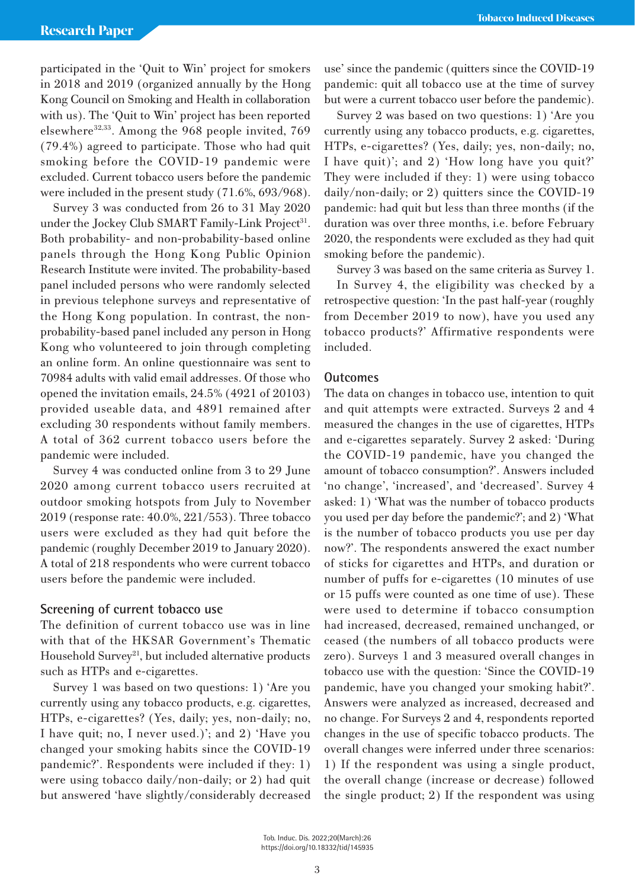participated in the 'Quit to Win' project for smokers in 2018 and 2019 (organized annually by the Hong Kong Council on Smoking and Health in collaboration with us). The 'Quit to Win' project has been reported elsewhere<sup>32,33</sup>. Among the 968 people invited, 769 (79.4%) agreed to participate. Those who had quit smoking before the COVID-19 pandemic were excluded. Current tobacco users before the pandemic were included in the present study (71.6%, 693/968).

Survey 3 was conducted from 26 to 31 May 2020 under the Jockey Club SMART Family-Link Project<sup>31</sup>. Both probability- and non-probability-based online panels through the Hong Kong Public Opinion Research Institute were invited. The probability-based panel included persons who were randomly selected in previous telephone surveys and representative of the Hong Kong population. In contrast, the nonprobability-based panel included any person in Hong Kong who volunteered to join through completing an online form. An online questionnaire was sent to 70984 adults with valid email addresses. Of those who opened the invitation emails, 24.5% (4921 of 20103) provided useable data, and 4891 remained after excluding 30 respondents without family members. A total of 362 current tobacco users before the pandemic were included.

Survey 4 was conducted online from 3 to 29 June 2020 among current tobacco users recruited at outdoor smoking hotspots from July to November 2019 (response rate: 40.0%, 221/553). Three tobacco users were excluded as they had quit before the pandemic (roughly December 2019 to January 2020). A total of 218 respondents who were current tobacco users before the pandemic were included.

# **Screening of current tobacco use**

The definition of current tobacco use was in line with that of the HKSAR Government's Thematic Household Survey<sup>21</sup>, but included alternative products such as HTPs and e-cigarettes.

Survey 1 was based on two questions: 1) 'Are you currently using any tobacco products, e.g. cigarettes, HTPs, e-cigarettes? (Yes, daily; yes, non-daily; no, I have quit; no, I never used.)'; and 2) 'Have you changed your smoking habits since the COVID-19 pandemic?'. Respondents were included if they: 1) were using tobacco daily/non-daily; or 2) had quit but answered 'have slightly/considerably decreased use' since the pandemic (quitters since the COVID-19 pandemic: quit all tobacco use at the time of survey but were a current tobacco user before the pandemic).

Survey 2 was based on two questions: 1) 'Are you currently using any tobacco products, e.g. cigarettes, HTPs, e-cigarettes? (Yes, daily; yes, non-daily; no, I have quit)'; and 2) 'How long have you quit?' They were included if they: 1) were using tobacco daily/non-daily; or 2) quitters since the COVID-19 pandemic: had quit but less than three months (if the duration was over three months, i.e. before February 2020, the respondents were excluded as they had quit smoking before the pandemic).

Survey 3 was based on the same criteria as Survey 1.

In Survey 4, the eligibility was checked by a retrospective question: 'In the past half-year (roughly from December 2019 to now), have you used any tobacco products?' Affirmative respondents were included.

# **Outcomes**

The data on changes in tobacco use, intention to quit and quit attempts were extracted. Surveys 2 and 4 measured the changes in the use of cigarettes, HTPs and e-cigarettes separately. Survey 2 asked: 'During the COVID-19 pandemic, have you changed the amount of tobacco consumption?'. Answers included 'no change', 'increased', and 'decreased'. Survey 4 asked: 1) 'What was the number of tobacco products you used per day before the pandemic?'; and 2) 'What is the number of tobacco products you use per day now?'. The respondents answered the exact number of sticks for cigarettes and HTPs, and duration or number of puffs for e-cigarettes (10 minutes of use or 15 puffs were counted as one time of use). These were used to determine if tobacco consumption had increased, decreased, remained unchanged, or ceased (the numbers of all tobacco products were zero). Surveys 1 and 3 measured overall changes in tobacco use with the question: 'Since the COVID-19 pandemic, have you changed your smoking habit?'. Answers were analyzed as increased, decreased and no change. For Surveys 2 and 4, respondents reported changes in the use of specific tobacco products. The overall changes were inferred under three scenarios: 1) If the respondent was using a single product, the overall change (increase or decrease) followed the single product; 2) If the respondent was using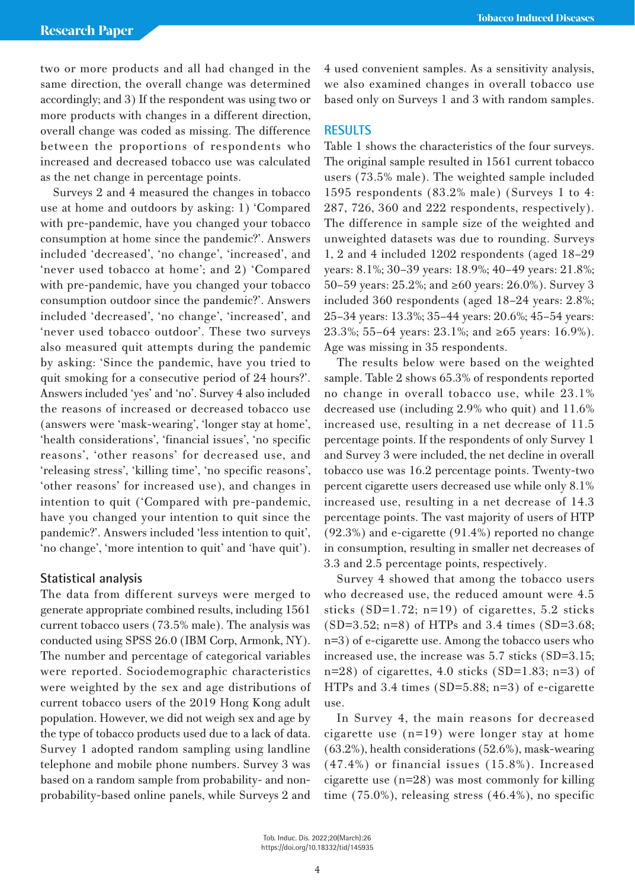two or more products and all had changed in the same direction, the overall change was determined accordingly; and 3) If the respondent was using two or more products with changes in a different direction, overall change was coded as missing. The difference between the proportions of respondents who increased and decreased tobacco use was calculated as the net change in percentage points.

Surveys 2 and 4 measured the changes in tobacco use at home and outdoors by asking: 1) 'Compared with pre-pandemic, have you changed your tobacco consumption at home since the pandemic?'. Answers included 'decreased', 'no change', 'increased', and 'never used tobacco at home'; and 2) 'Compared with pre-pandemic, have you changed your tobacco consumption outdoor since the pandemic?'. Answers included 'decreased', 'no change', 'increased', and 'never used tobacco outdoor'. These two surveys also measured quit attempts during the pandemic by asking: 'Since the pandemic, have you tried to quit smoking for a consecutive period of 24 hours?'. Answers included 'yes' and 'no'. Survey 4 also included the reasons of increased or decreased tobacco use (answers were 'mask-wearing', 'longer stay at home', 'health considerations', 'financial issues', 'no specific reasons', 'other reasons' for decreased use, and 'releasing stress', 'killing time', 'no specific reasons', 'other reasons' for increased use), and changes in intention to quit ('Compared with pre-pandemic, have you changed your intention to quit since the pandemic?'. Answers included 'less intention to quit', 'no change', 'more intention to quit' and 'have quit').

# **Statistical analysis**

The data from different surveys were merged to generate appropriate combined results, including 1561 current tobacco users (73.5% male). The analysis was conducted using SPSS 26.0 (IBM Corp, Armonk, NY). The number and percentage of categorical variables were reported. Sociodemographic characteristics were weighted by the sex and age distributions of current tobacco users of the 2019 Hong Kong adult population. However, we did not weigh sex and age by the type of tobacco products used due to a lack of data. Survey 1 adopted random sampling using landline telephone and mobile phone numbers. Survey 3 was based on a random sample from probability- and nonprobability-based online panels, while Surveys 2 and 4 used convenient samples. As a sensitivity analysis, we also examined changes in overall tobacco use based only on Surveys 1 and 3 with random samples.

## **RESULTS**

Table 1 shows the characteristics of the four surveys. The original sample resulted in 1561 current tobacco users (73.5% male). The weighted sample included 1595 respondents (83.2% male) (Surveys 1 to 4: 287, 726, 360 and 222 respondents, respectively). The difference in sample size of the weighted and unweighted datasets was due to rounding. Surveys 1, 2 and 4 included 1202 respondents (aged 18–29 years: 8.1%; 30–39 years: 18.9%; 40–49 years: 21.8%; 50–59 years: 25.2%; and ≥60 years: 26.0%). Survey 3 included 360 respondents (aged 18–24 years: 2.8%; 25–34 years: 13.3%; 35–44 years: 20.6%; 45–54 years: 23.3%; 55–64 years: 23.1%; and ≥65 years: 16.9%). Age was missing in 35 respondents.

The results below were based on the weighted sample. Table 2 shows 65.3% of respondents reported no change in overall tobacco use, while 23.1% decreased use (including 2.9% who quit) and 11.6% increased use, resulting in a net decrease of 11.5 percentage points. If the respondents of only Survey 1 and Survey 3 were included, the net decline in overall tobacco use was 16.2 percentage points. Twenty-two percent cigarette users decreased use while only 8.1% increased use, resulting in a net decrease of 14.3 percentage points. The vast majority of users of HTP (92.3%) and e-cigarette (91.4%) reported no change in consumption, resulting in smaller net decreases of 3.3 and 2.5 percentage points, respectively.

Survey 4 showed that among the tobacco users who decreased use, the reduced amount were 4.5 sticks (SD=1.72; n=19) of cigarettes, 5.2 sticks (SD=3.52; n=8) of HTPs and 3.4 times (SD=3.68; n=3) of e-cigarette use. Among the tobacco users who increased use, the increase was 5.7 sticks (SD=3.15;  $n=28$ ) of cigarettes, 4.0 sticks (SD=1.83; n=3) of HTPs and 3.4 times (SD=5.88; n=3) of e-cigarette use.

In Survey 4, the main reasons for decreased cigarette use (n=19) were longer stay at home (63.2%), health considerations (52.6%), mask-wearing (47.4%) or financial issues (15.8%). Increased cigarette use (n=28) was most commonly for killing time (75.0%), releasing stress (46.4%), no specific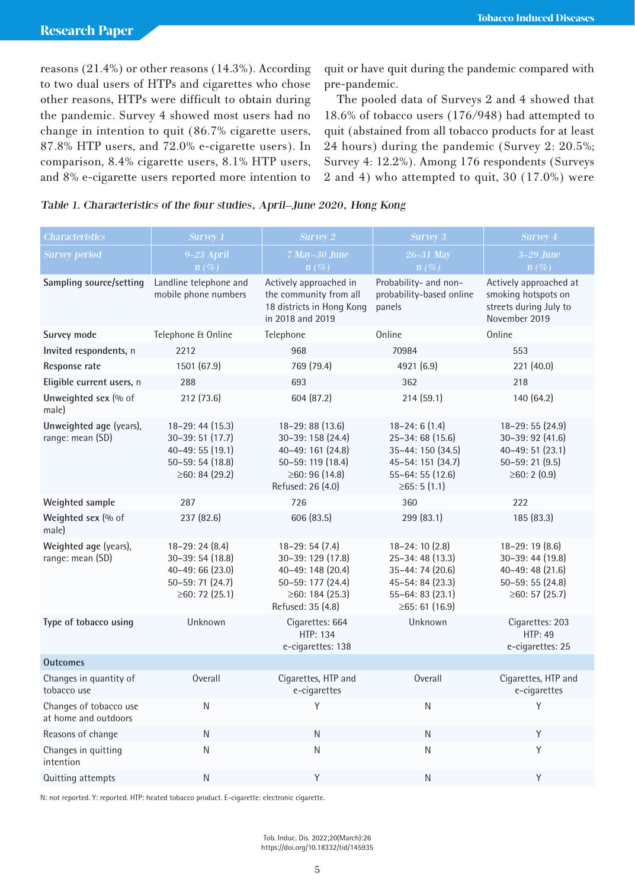reasons (21.4%) or other reasons (14.3%). According to two dual users of HTPs and cigarettes who chose other reasons, HTPs were difficult to obtain during the pandemic. Survey 4 showed most users had no change in intention to quit (86.7% cigarette users, 87.8% HTP users, and 72.0% e-cigarette users). In comparison, 8.4% cigarette users, 8.1% HTP users, and 8% e-cigarette users reported more intention to quit or have quit during the pandemic compared with pre-pandemic.

The pooled data of Surveys 2 and 4 showed that 18.6% of tobacco users (176/948) had attempted to quit (abstained from all tobacco products for at least 24 hours) during the pandemic (Survey 2: 20.5%; Survey 4: 12.2%). Among 176 respondents (Surveys 2 and 4) who attempted to quit, 30 (17.0%) were

| Table 1. Characteristics of the four studies, April–June 2020, Hong Kong |  |  |  |  |  |  |  |  |
|--------------------------------------------------------------------------|--|--|--|--|--|--|--|--|
|--------------------------------------------------------------------------|--|--|--|--|--|--|--|--|

| <b>Characteristics</b>                         | <b>Survey 1</b>                                                                                   | <b>Survey 2</b>                                                                                                                  | <b>Survey 3</b>                                                                                                                   | <b>Survey 4</b>                                                                                      |
|------------------------------------------------|---------------------------------------------------------------------------------------------------|----------------------------------------------------------------------------------------------------------------------------------|-----------------------------------------------------------------------------------------------------------------------------------|------------------------------------------------------------------------------------------------------|
| <b>Survey period</b>                           | $9-23$ April                                                                                      | 7 May-30 June                                                                                                                    | 26-31 May                                                                                                                         | $3-29$ June                                                                                          |
|                                                | $n(\%)$                                                                                           | $n(\%)$                                                                                                                          | $n(\%)$                                                                                                                           | $n(\%)$                                                                                              |
| Sampling source/setting                        | Landline telephone and<br>mobile phone numbers                                                    | Actively approached in<br>the community from all<br>18 districts in Hong Kong<br>in 2018 and 2019                                | Probability- and non-<br>probability-based online<br>panels                                                                       | Actively approached at<br>smoking hotspots on<br>streets during July to<br>November 2019             |
| Survey mode                                    | Telephone & Online                                                                                | Telephone                                                                                                                        | Online                                                                                                                            | Online                                                                                               |
| Invited respondents, n                         | 2212                                                                                              | 968                                                                                                                              | 70984                                                                                                                             | 553                                                                                                  |
| Response rate                                  | 1501 (67.9)                                                                                       | 769 (79.4)                                                                                                                       | 4921 (6.9)                                                                                                                        | 221 (40.0)                                                                                           |
| Eligible current users, n                      | 288                                                                                               | 693                                                                                                                              | 362                                                                                                                               | 218                                                                                                  |
| Unweighted sex (% of<br>male)                  | 212 (73.6)                                                                                        | 604 (87.2)                                                                                                                       | 214 (59.1)                                                                                                                        | 140 (64.2)                                                                                           |
| Unweighted age (years),<br>range: mean (SD)    | 18-29: 44 (15.3)<br>30-39:51 (17.7)<br>40-49: 55 (19.1)<br>50-59: 54 (18.8)<br>≥60: 84 (29.2)     | 18-29:88 (13.6)<br>30-39: 158 (24.4)<br>40-49: 161 (24.8)<br>50-59: 119 (18.4)<br>$\geq 60$ : 96 (14.8)<br>Refused: 26 (4.0)     | $18 - 24:6(1.4)$<br>25-34:68 (15.6)<br>35-44: 150 (34.5)<br>45-54: 151 (34.7)<br>55-64: 55 (12.6)<br>≥65:5(1.1)                   | 18-29: 55 (24.9)<br>30-39: 92 (41.6)<br>40-49: 51 (23.1)<br>$50 - 59:21(9.5)$<br>≥60: 2 (0.9)        |
| Weighted sample                                | 287                                                                                               | 726                                                                                                                              | 360                                                                                                                               | 222                                                                                                  |
| Weighted sex (% of<br>male)                    | 237 (82.6)                                                                                        | 606 (83.5)                                                                                                                       | 299 (83.1)                                                                                                                        | 185 (83.3)                                                                                           |
| Weighted age (years),<br>range: mean (SD)      | $18-29:24(8.4)$<br>$30-39:54(18.8)$<br>$40 - 49:66(23.0)$<br>50-59: 71 (24.7)<br>≥60: 72 $(25.1)$ | $18 - 29: 54(7.4)$<br>30-39: 129 (17.8)<br>40-49: 148 (20.4)<br>50-59: 177 (24.4)<br>$\geq 60$ : 184 (25.3)<br>Refused: 35 (4.8) | $18 - 24$ : 10 $(2.8)$<br>25-34:48 (13.3)<br>35-44: 74 (20.6)<br>45-54: 84 (23.3)<br>$55 - 64: 83(23.1)$<br>$\geq 65$ : 61 (16.9) | $18-29:19(8.6)$<br>30-39: 44 (19.8)<br>$40 - 49$ : 48 (21.6)<br>$50 - 59:55(24.8)$<br>≥60: 57 (25.7) |
| Type of tobacco using                          | Unknown                                                                                           | Cigarettes: 664<br>HTP: 134<br>e-cigarettes: 138                                                                                 | Unknown                                                                                                                           | Cigarettes: 203<br><b>HTP: 49</b><br>e-cigarettes: 25                                                |
| <b>Outcomes</b>                                |                                                                                                   |                                                                                                                                  |                                                                                                                                   |                                                                                                      |
| Changes in quantity of<br>tobacco use          | Overall                                                                                           | Cigarettes, HTP and<br>e-cigarettes                                                                                              | Overall                                                                                                                           | Cigarettes, HTP and<br>e-cigarettes                                                                  |
| Changes of tobacco use<br>at home and outdoors | ${\sf N}$                                                                                         | Υ                                                                                                                                | ${\sf N}$                                                                                                                         | Υ                                                                                                    |
| Reasons of change                              | N                                                                                                 | N                                                                                                                                | ${\sf N}$                                                                                                                         | Υ                                                                                                    |
| Changes in quitting<br>intention               | ${\sf N}$                                                                                         | Ν                                                                                                                                | N                                                                                                                                 | Y                                                                                                    |
| Quitting attempts                              | N                                                                                                 | Υ                                                                                                                                | ${\sf N}$                                                                                                                         | Υ                                                                                                    |

N: not reported. Y: reported. HTP: heated tobacco product. E-cigarette: electronic cigarette.

Tob. Induc. Dis. 2022;20(March):26 https://doi.org/10.18332/tid/145935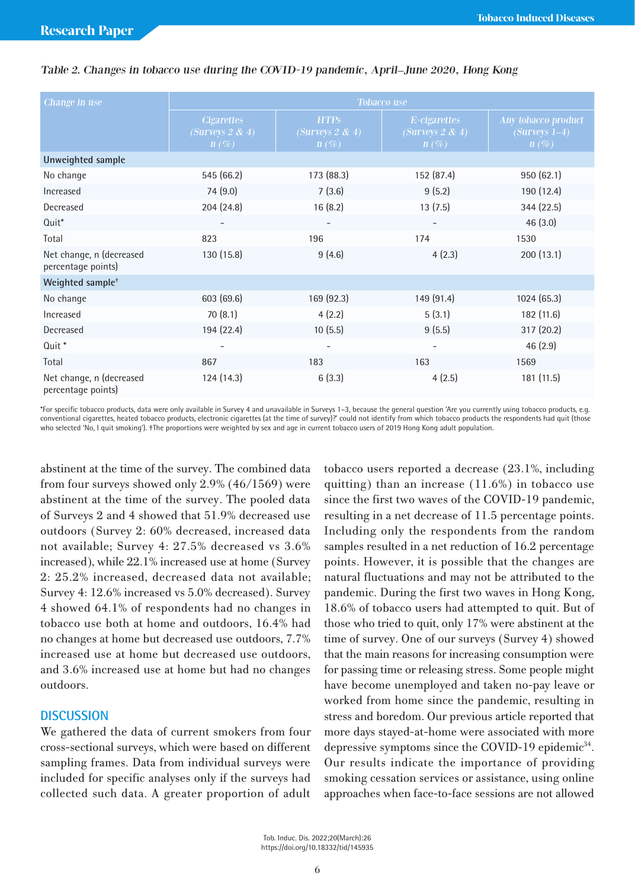| Change in use                                  | <b>Tobacco use</b>                                  |                                               |                                            |                                                   |  |  |
|------------------------------------------------|-----------------------------------------------------|-----------------------------------------------|--------------------------------------------|---------------------------------------------------|--|--|
|                                                | <b>Cigarettes</b><br>(Surveys $2 \& 4$ )<br>$n(\%)$ | <b>HTPS</b><br>(Surveys $2 \& 4$ )<br>$n(\%)$ | E-cigarettes<br>(Surveys 2 & 4)<br>$n(\%)$ | Any tobacco product<br>$(Surveys 1-4)$<br>$n(\%)$ |  |  |
| Unweighted sample                              |                                                     |                                               |                                            |                                                   |  |  |
| No change                                      | 545 (66.2)                                          | 173 (88.3)                                    | 152 (87.4)                                 | 950(62.1)                                         |  |  |
| Increased                                      | 74 (9.0)                                            | 7(3.6)                                        | 9(5.2)                                     | 190 (12.4)                                        |  |  |
| Decreased                                      | 204(24.8)                                           | 16(8.2)                                       | 13(7.5)                                    | 344 (22.5)                                        |  |  |
| Quit <sup>*</sup>                              | $\overline{\phantom{a}}$                            |                                               | $\overline{\phantom{a}}$                   | 46(3.0)                                           |  |  |
| Total                                          | 823                                                 | 196                                           | 174                                        | 1530                                              |  |  |
| Net change, n (decreased<br>percentage points) | 130(15.8)                                           | 9(4.6)                                        | 4(2.3)                                     | 200(13.1)                                         |  |  |
| Weighted sample <sup>+</sup>                   |                                                     |                                               |                                            |                                                   |  |  |
| No change                                      | 603 (69.6)                                          | 169(92.3)                                     | 149(91.4)                                  | 1024(65.3)                                        |  |  |
| Increased                                      | 70(8.1)                                             | 4(2.2)                                        | 5(3.1)                                     | 182(11.6)                                         |  |  |
| Decreased                                      | 194 (22.4)                                          | 10(5.5)                                       | 9(5.5)                                     | 317(20.2)                                         |  |  |
| Quit <sup>*</sup>                              | $\qquad \qquad -$                                   |                                               |                                            | 46(2.9)                                           |  |  |
| Total                                          | 867                                                 | 183                                           | 163                                        | 1569                                              |  |  |
| Net change, n (decreased<br>percentage points) | 124(14.3)                                           | 6(3.3)                                        | 4(2.5)                                     | 181 (11.5)                                        |  |  |

## Table 2. Changes in tobacco use during the COVID-19 pandemic, April–June 2020, Hong Kong

\*For specific tobacco products, data were only available in Survey 4 and unavailable in Surveys 1–3, because the general question 'Are you currently using tobacco products, e.g. conventional cigarettes, heated tobacco products, electronic cigarettes (at the time of survey)?' could not identify from which tobacco products the respondents had quit (those who selected 'No, I quit smoking'). †The proportions were weighted by sex and age in current tobacco users of 2019 Hong Kong adult population.

abstinent at the time of the survey. The combined data from four surveys showed only 2.9% (46/1569) were abstinent at the time of the survey. The pooled data of Surveys 2 and 4 showed that 51.9% decreased use outdoors (Survey 2: 60% decreased, increased data not available; Survey 4: 27.5% decreased vs 3.6% increased), while 22.1% increased use at home (Survey 2: 25.2% increased, decreased data not available; Survey 4: 12.6% increased vs 5.0% decreased). Survey 4 showed 64.1% of respondents had no changes in tobacco use both at home and outdoors, 16.4% had no changes at home but decreased use outdoors, 7.7% increased use at home but decreased use outdoors, and 3.6% increased use at home but had no changes outdoors.

# **DISCUSSION**

We gathered the data of current smokers from four cross-sectional surveys, which were based on different sampling frames. Data from individual surveys were included for specific analyses only if the surveys had collected such data. A greater proportion of adult

tobacco users reported a decrease (23.1%, including quitting) than an increase (11.6%) in tobacco use since the first two waves of the COVID-19 pandemic, resulting in a net decrease of 11.5 percentage points. Including only the respondents from the random samples resulted in a net reduction of 16.2 percentage points. However, it is possible that the changes are natural fluctuations and may not be attributed to the pandemic. During the first two waves in Hong Kong, 18.6% of tobacco users had attempted to quit. But of those who tried to quit, only 17% were abstinent at the time of survey. One of our surveys (Survey 4) showed that the main reasons for increasing consumption were for passing time or releasing stress. Some people might have become unemployed and taken no-pay leave or worked from home since the pandemic, resulting in stress and boredom. Our previous article reported that more days stayed-at-home were associated with more depressive symptoms since the COVID-19 epidemic<sup>34</sup>. Our results indicate the importance of providing smoking cessation services or assistance, using online approaches when face-to-face sessions are not allowed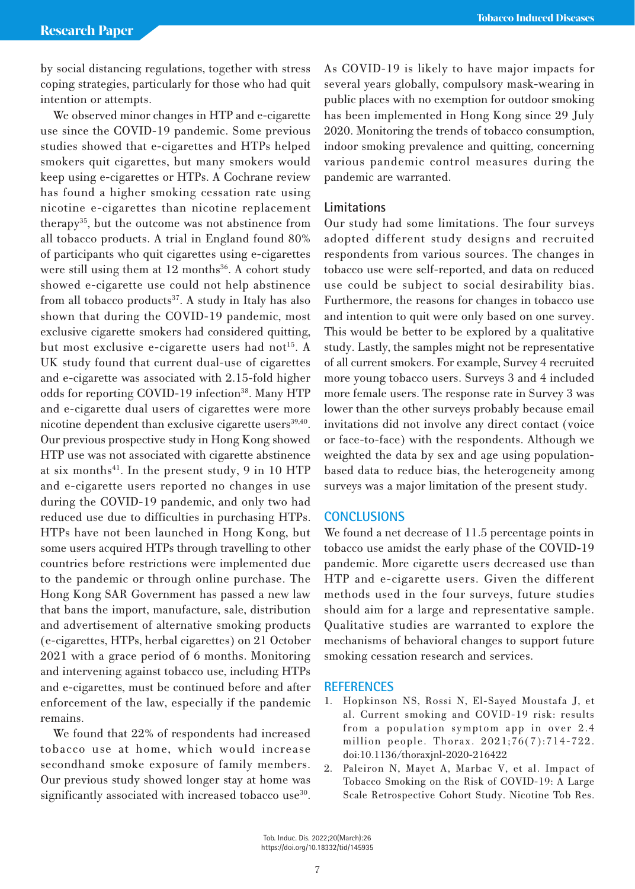by social distancing regulations, together with stress coping strategies, particularly for those who had quit intention or attempts.

We observed minor changes in HTP and e-cigarette use since the COVID-19 pandemic. Some previous studies showed that e-cigarettes and HTPs helped smokers quit cigarettes, but many smokers would keep using e-cigarettes or HTPs. A Cochrane review has found a higher smoking cessation rate using nicotine e-cigarettes than nicotine replacement therapy35, but the outcome was not abstinence from all tobacco products. A trial in England found 80% of participants who quit cigarettes using e-cigarettes were still using them at  $12$  months<sup>36</sup>. A cohort study showed e-cigarette use could not help abstinence from all tobacco products $37$ . A study in Italy has also shown that during the COVID-19 pandemic, most exclusive cigarette smokers had considered quitting, but most exclusive e-cigarette users had not<sup>15</sup>. A UK study found that current dual-use of cigarettes and e-cigarette was associated with 2.15-fold higher odds for reporting COVID-19 infection<sup>38</sup>. Many HTP and e-cigarette dual users of cigarettes were more nicotine dependent than exclusive cigarette users<sup>39,40</sup>. Our previous prospective study in Hong Kong showed HTP use was not associated with cigarette abstinence at six months<sup>41</sup>. In the present study, 9 in 10 HTP and e-cigarette users reported no changes in use during the COVID-19 pandemic, and only two had reduced use due to difficulties in purchasing HTPs. HTPs have not been launched in Hong Kong, but some users acquired HTPs through travelling to other countries before restrictions were implemented due to the pandemic or through online purchase. The Hong Kong SAR Government has passed a new law that bans the import, manufacture, sale, distribution and advertisement of alternative smoking products (e-cigarettes, HTPs, herbal cigarettes) on 21 October 2021 with a grace period of 6 months. Monitoring and intervening against tobacco use, including HTPs and e-cigarettes, must be continued before and after enforcement of the law, especially if the pandemic remains.

We found that 22% of respondents had increased tobacco use at home, which would increase secondhand smoke exposure of family members. Our previous study showed longer stay at home was significantly associated with increased tobacco use<sup>30</sup>. As COVID-19 is likely to have major impacts for several years globally, compulsory mask-wearing in public places with no exemption for outdoor smoking has been implemented in Hong Kong since 29 July 2020. Monitoring the trends of tobacco consumption, indoor smoking prevalence and quitting, concerning various pandemic control measures during the pandemic are warranted.

# **Limitations**

Our study had some limitations. The four surveys adopted different study designs and recruited respondents from various sources. The changes in tobacco use were self-reported, and data on reduced use could be subject to social desirability bias. Furthermore, the reasons for changes in tobacco use and intention to quit were only based on one survey. This would be better to be explored by a qualitative study. Lastly, the samples might not be representative of all current smokers. For example, Survey 4 recruited more young tobacco users. Surveys 3 and 4 included more female users. The response rate in Survey 3 was lower than the other surveys probably because email invitations did not involve any direct contact (voice or face-to-face) with the respondents. Although we weighted the data by sex and age using populationbased data to reduce bias, the heterogeneity among surveys was a major limitation of the present study.

# **CONCLUSIONS**

We found a net decrease of 11.5 percentage points in tobacco use amidst the early phase of the COVID-19 pandemic. More cigarette users decreased use than HTP and e-cigarette users. Given the different methods used in the four surveys, future studies should aim for a large and representative sample. Qualitative studies are warranted to explore the mechanisms of behavioral changes to support future smoking cessation research and services.

## **REFERENCES**

- 1. Hopkinson NS, Rossi N, El-Sayed Moustafa J, et al. Current smoking and COVID-19 risk: results from a population symptom app in over 2.4 million people. Thorax. 2021;76(7):714-722. doi:10.1136/thoraxjnl-2020-216422
- 2. Paleiron N, Mayet A, Marbac V, et al. Impact of Tobacco Smoking on the Risk of COVID-19: A Large Scale Retrospective Cohort Study. Nicotine Tob Res.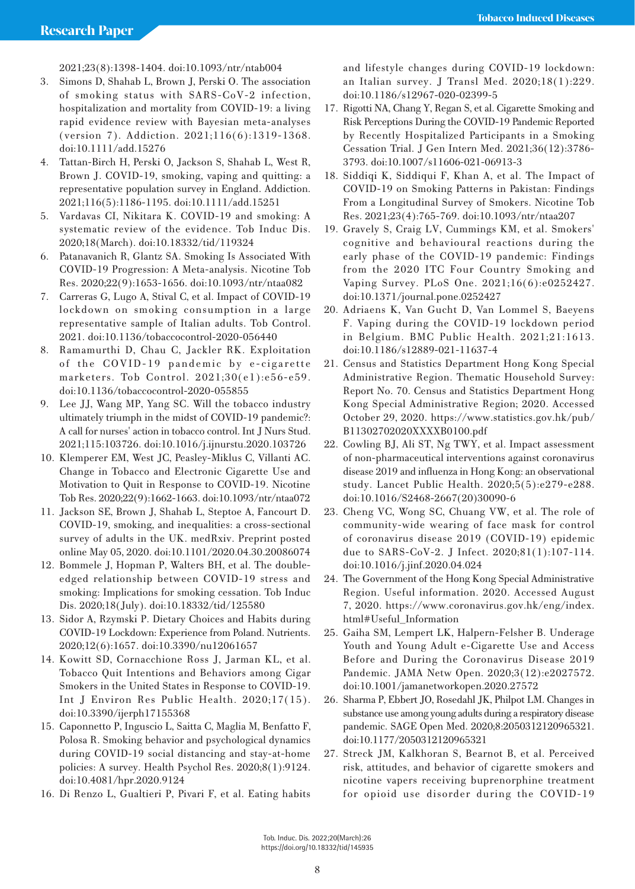2021;23(8):1398-1404. doi:10.1093/ntr/ntab004

- 3. Simons D, Shahab L, Brown J, Perski O. The association of smoking status with SARS-CoV-2 infection, hospitalization and mortality from COVID-19: a living rapid evidence review with Bayesian meta-analyses (version 7). Addiction. 2021;116(6):1319-1368. doi:10.1111/add.15276
- 4. Tattan-Birch H, Perski O, Jackson S, Shahab L, West R, Brown J. COVID-19, smoking, vaping and quitting: a representative population survey in England. Addiction. 2021;116(5):1186-1195. doi:10.1111/add.15251
- 5. Vardavas CI, Nikitara K. COVID-19 and smoking: A systematic review of the evidence. Tob Induc Dis. 2020;18(March). doi:10.18332/tid/119324
- 6. Patanavanich R, Glantz SA. Smoking Is Associated With COVID-19 Progression: A Meta-analysis. Nicotine Tob Res. 2020;22(9):1653-1656. doi:10.1093/ntr/ntaa082
- 7. Carreras G, Lugo A, Stival C, et al. Impact of COVID-19 lockdown on smoking consumption in a large representative sample of Italian adults. Tob Control. 2021. doi:10.1136/tobaccocontrol-2020-056440
- 8. Ramamurthi D, Chau C, Jackler RK. Exploitation of the COVID-19 pandemic by e-cigarette marketers. Tob Control. 2021;30(e1):e56-e59. doi:10.1136/tobaccocontrol-2020-055855
- 9. Lee JJ, Wang MP, Yang SC. Will the tobacco industry ultimately triumph in the midst of COVID-19 pandemic?: A call for nurses' action in tobacco control. Int J Nurs Stud. 2021;115:103726. doi:10.1016/j.ijnurstu.2020.103726
- 10. Klemperer EM, West JC, Peasley-Miklus C, Villanti AC. Change in Tobacco and Electronic Cigarette Use and Motivation to Quit in Response to COVID-19. Nicotine Tob Res. 2020;22(9):1662-1663. doi:10.1093/ntr/ntaa072
- 11. Jackson SE, Brown J, Shahab L, Steptoe A, Fancourt D. COVID-19, smoking, and inequalities: a cross-sectional survey of adults in the UK. medRxiv. Preprint posted online May 05, 2020. doi:10.1101/2020.04.30.20086074
- 12. Bommele J, Hopman P, Walters BH, et al. The doubleedged relationship between COVID-19 stress and smoking: Implications for smoking cessation. Tob Induc Dis. 2020;18(July). doi:10.18332/tid/125580
- 13. Sidor A, Rzymski P. Dietary Choices and Habits during COVID-19 Lockdown: Experience from Poland. Nutrients. 2020;12(6):1657. doi:10.3390/nu12061657
- 14. Kowitt SD, Cornacchione Ross J, Jarman KL, et al. Tobacco Quit Intentions and Behaviors among Cigar Smokers in the United States in Response to COVID-19. Int J Environ Res Public Health. 2020;17(15). doi:10.3390/ijerph17155368
- 15. Caponnetto P, Inguscio L, Saitta C, Maglia M, Benfatto F, Polosa R. Smoking behavior and psychological dynamics during COVID-19 social distancing and stay-at-home policies: A survey. Health Psychol Res. 2020;8(1):9124. doi:10.4081/hpr.2020.9124
- 16. Di Renzo L, Gualtieri P, Pivari F, et al. Eating habits

and lifestyle changes during COVID-19 lockdown: an Italian survey. J Transl Med. 2020;18(1):229. doi:10.1186/s12967-020-02399-5

- 17. Rigotti NA, Chang Y, Regan S, et al. Cigarette Smoking and Risk Perceptions During the COVID-19 Pandemic Reported by Recently Hospitalized Participants in a Smoking Cessation Trial. J Gen Intern Med. 2021;36(12):3786- 3793. doi:10.1007/s11606-021-06913-3
- 18. Siddiqi K, Siddiqui F, Khan A, et al. The Impact of COVID-19 on Smoking Patterns in Pakistan: Findings From a Longitudinal Survey of Smokers. Nicotine Tob Res. 2021;23(4):765-769. doi:10.1093/ntr/ntaa207
- 19. Gravely S, Craig LV, Cummings KM, et al. Smokers' cognitive and behavioural reactions during the early phase of the COVID-19 pandemic: Findings from the 2020 ITC Four Country Smoking and Vaping Survey. PLoS One. 2021;16(6):e0252427. doi:10.1371/journal.pone.0252427
- 20. Adriaens K, Van Gucht D, Van Lommel S, Baeyens F. Vaping during the COVID-19 lockdown period in Belgium. BMC Public Health. 2021;21:1613. doi:10.1186/s12889-021-11637-4
- 21. Census and Statistics Department Hong Kong Special Administrative Region. Thematic Household Survey: Report No. 70. Census and Statistics Department Hong Kong Special Administrative Region; 2020. Accessed October 29, 2020. https://www.statistics.gov.hk/pub/ B11302702020XXXXB0100.pdf
- 22. Cowling BJ, Ali ST, Ng TWY, et al. Impact assessment of non-pharmaceutical interventions against coronavirus disease 2019 and influenza in Hong Kong: an observational study. Lancet Public Health. 2020;5(5):e279-e288. doi:10.1016/S2468-2667(20)30090-6
- 23. Cheng VC, Wong SC, Chuang VW, et al. The role of community-wide wearing of face mask for control of coronavirus disease 2019 (COVID-19) epidemic due to SARS-CoV-2. J Infect. 2020;81(1):107-114. doi:10.1016/j.jinf.2020.04.024
- 24. The Government of the Hong Kong Special Administrative Region. Useful information. 2020. Accessed August 7, 2020. https://www.coronavirus.gov.hk/eng/index. html#Useful\_Information
- 25. Gaiha SM, Lempert LK, Halpern-Felsher B. Underage Youth and Young Adult e-Cigarette Use and Access Before and During the Coronavirus Disease 2019 Pandemic. JAMA Netw Open. 2020;3(12):e2027572. doi:10.1001/jamanetworkopen.2020.27572
- 26. Sharma P, Ebbert JO, Rosedahl JK, Philpot LM. Changes in substance use among young adults during a respiratory disease pandemic. SAGE Open Med. 2020;8:2050312120965321. doi:10.1177/2050312120965321
- 27. Streck JM, Kalkhoran S, Bearnot B, et al. Perceived risk, attitudes, and behavior of cigarette smokers and nicotine vapers receiving buprenorphine treatment for opioid use disorder during the COVID-19